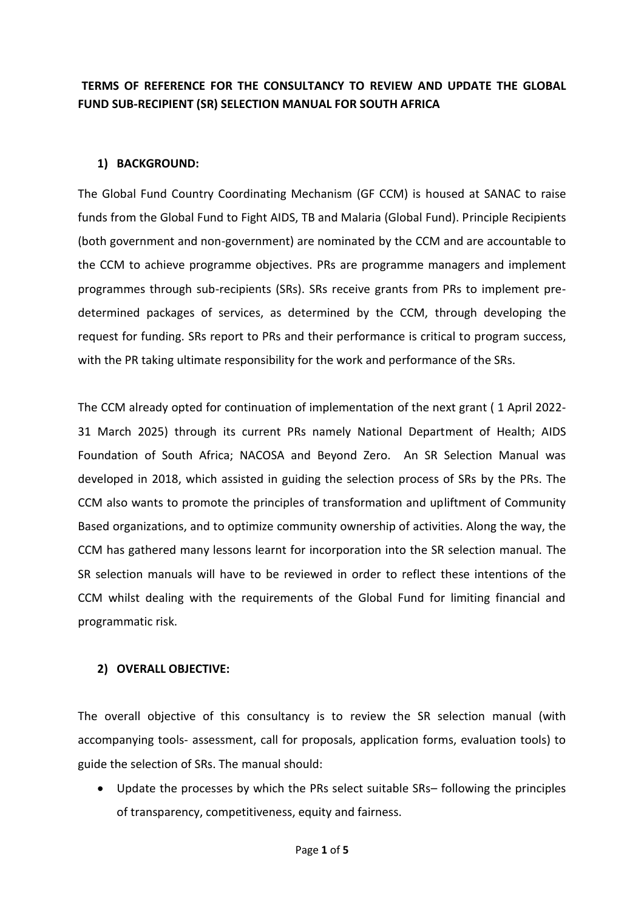# **TERMS OF REFERENCE FOR THE CONSULTANCY TO REVIEW AND UPDATE THE GLOBAL FUND SUB-RECIPIENT (SR) SELECTION MANUAL FOR SOUTH AFRICA**

#### **1) BACKGROUND:**

The Global Fund Country Coordinating Mechanism (GF CCM) is housed at SANAC to raise funds from the Global Fund to Fight AIDS, TB and Malaria (Global Fund). Principle Recipients (both government and non-government) are nominated by the CCM and are accountable to the CCM to achieve programme objectives. PRs are programme managers and implement programmes through sub-recipients (SRs). SRs receive grants from PRs to implement predetermined packages of services, as determined by the CCM, through developing the request for funding. SRs report to PRs and their performance is critical to program success, with the PR taking ultimate responsibility for the work and performance of the SRs.

The CCM already opted for continuation of implementation of the next grant ( 1 April 2022- 31 March 2025) through its current PRs namely National Department of Health; AIDS Foundation of South Africa; NACOSA and Beyond Zero. An SR Selection Manual was developed in 2018, which assisted in guiding the selection process of SRs by the PRs. The CCM also wants to promote the principles of transformation and upliftment of Community Based organizations, and to optimize community ownership of activities. Along the way, the CCM has gathered many lessons learnt for incorporation into the SR selection manual. The SR selection manuals will have to be reviewed in order to reflect these intentions of the CCM whilst dealing with the requirements of the Global Fund for limiting financial and programmatic risk.

#### **2) OVERALL OBJECTIVE:**

The overall objective of this consultancy is to review the SR selection manual (with accompanying tools- assessment, call for proposals, application forms, evaluation tools) to guide the selection of SRs. The manual should:

 Update the processes by which the PRs select suitable SRs– following the principles of transparency, competitiveness, equity and fairness.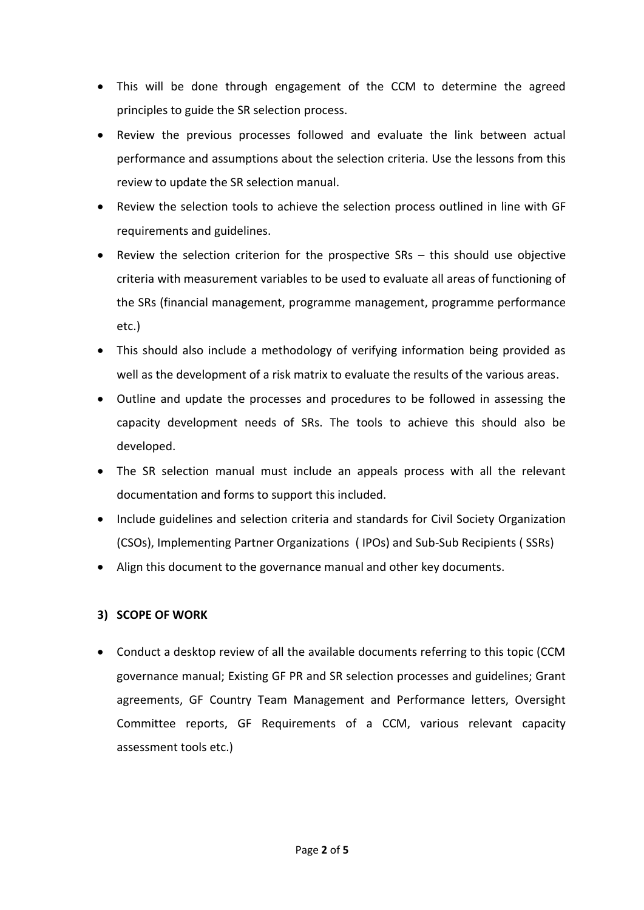- This will be done through engagement of the CCM to determine the agreed principles to guide the SR selection process.
- Review the previous processes followed and evaluate the link between actual performance and assumptions about the selection criteria. Use the lessons from this review to update the SR selection manual.
- Review the selection tools to achieve the selection process outlined in line with GF requirements and guidelines.
- Review the selection criterion for the prospective SRs this should use objective criteria with measurement variables to be used to evaluate all areas of functioning of the SRs (financial management, programme management, programme performance etc.)
- This should also include a methodology of verifying information being provided as well as the development of a risk matrix to evaluate the results of the various areas.
- Outline and update the processes and procedures to be followed in assessing the capacity development needs of SRs. The tools to achieve this should also be developed.
- The SR selection manual must include an appeals process with all the relevant documentation and forms to support this included.
- Include guidelines and selection criteria and standards for Civil Society Organization (CSOs), Implementing Partner Organizations ( IPOs) and Sub-Sub Recipients ( SSRs)
- Align this document to the governance manual and other key documents.

### **3) SCOPE OF WORK**

 Conduct a desktop review of all the available documents referring to this topic (CCM governance manual; Existing GF PR and SR selection processes and guidelines; Grant agreements, GF Country Team Management and Performance letters, Oversight Committee reports, GF Requirements of a CCM, various relevant capacity assessment tools etc.)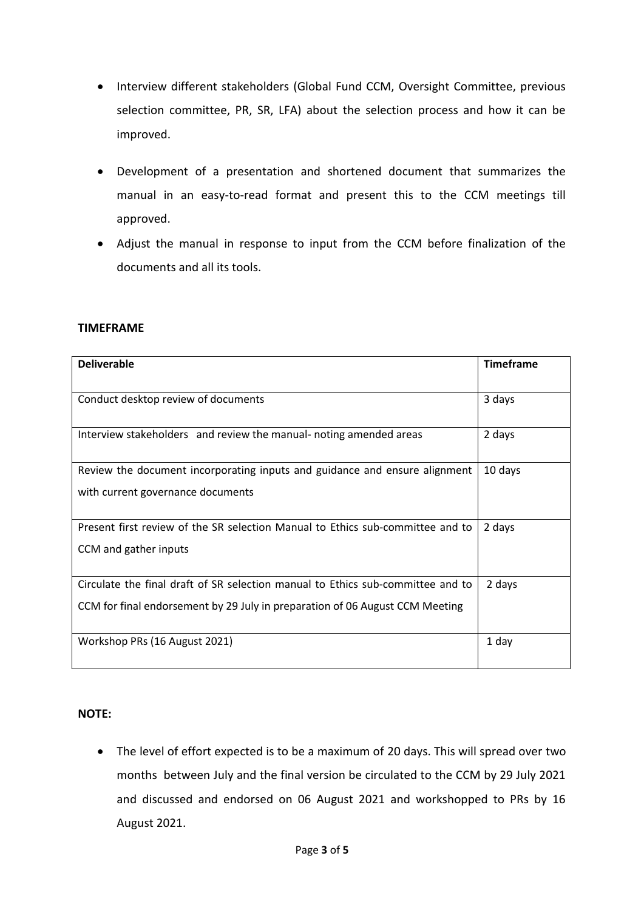- Interview different stakeholders (Global Fund CCM, Oversight Committee, previous selection committee, PR, SR, LFA) about the selection process and how it can be improved.
- Development of a presentation and shortened document that summarizes the manual in an easy-to-read format and present this to the CCM meetings till approved.
- Adjust the manual in response to input from the CCM before finalization of the documents and all its tools.

#### **TIMEFRAME**

| <b>Deliverable</b>                                                              | <b>Timeframe</b> |
|---------------------------------------------------------------------------------|------------------|
|                                                                                 |                  |
| Conduct desktop review of documents                                             | 3 days           |
|                                                                                 |                  |
| Interview stakeholders and review the manual- noting amended areas              | 2 days           |
| Review the document incorporating inputs and guidance and ensure alignment      | 10 days          |
| with current governance documents                                               |                  |
|                                                                                 |                  |
| Present first review of the SR selection Manual to Ethics sub-committee and to  | 2 days           |
| CCM and gather inputs                                                           |                  |
|                                                                                 |                  |
| Circulate the final draft of SR selection manual to Ethics sub-committee and to | 2 days           |
| CCM for final endorsement by 29 July in preparation of 06 August CCM Meeting    |                  |
|                                                                                 |                  |
| Workshop PRs (16 August 2021)                                                   | 1 day            |
|                                                                                 |                  |

#### **NOTE:**

 The level of effort expected is to be a maximum of 20 days. This will spread over two months between July and the final version be circulated to the CCM by 29 July 2021 and discussed and endorsed on 06 August 2021 and workshopped to PRs by 16 August 2021.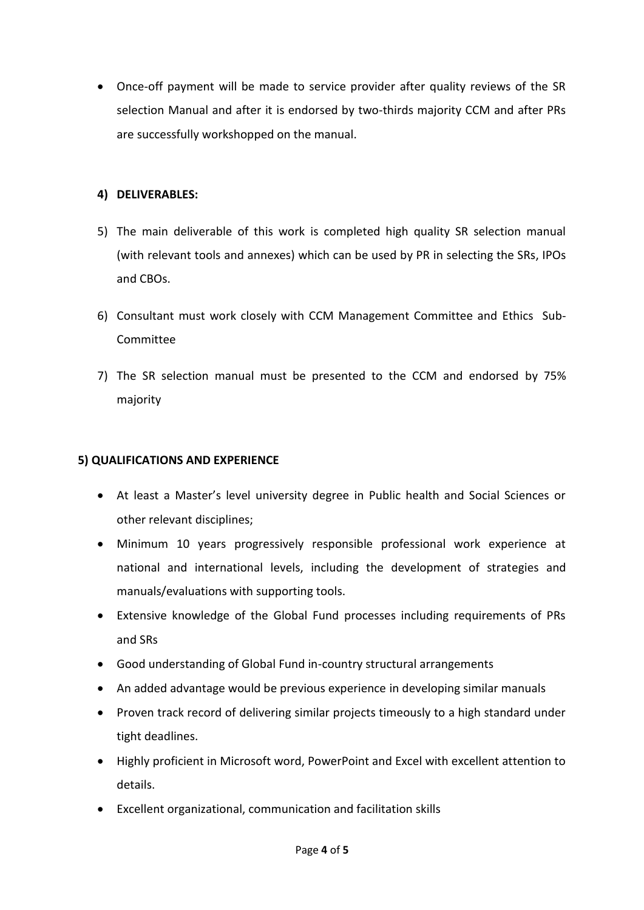Once-off payment will be made to service provider after quality reviews of the SR selection Manual and after it is endorsed by two-thirds majority CCM and after PRs are successfully workshopped on the manual.

## **4) DELIVERABLES:**

- 5) The main deliverable of this work is completed high quality SR selection manual (with relevant tools and annexes) which can be used by PR in selecting the SRs, IPOs and CBOs.
- 6) Consultant must work closely with CCM Management Committee and Ethics Sub-Committee
- 7) The SR selection manual must be presented to the CCM and endorsed by 75% majority

# **5) QUALIFICATIONS AND EXPERIENCE**

- At least a Master's level university degree in Public health and Social Sciences or other relevant disciplines;
- Minimum 10 years progressively responsible professional work experience at national and international levels, including the development of strategies and manuals/evaluations with supporting tools.
- Extensive knowledge of the Global Fund processes including requirements of PRs and SRs
- Good understanding of Global Fund in-country structural arrangements
- An added advantage would be previous experience in developing similar manuals
- Proven track record of delivering similar projects timeously to a high standard under tight deadlines.
- Highly proficient in Microsoft word, PowerPoint and Excel with excellent attention to details.
- Excellent organizational, communication and facilitation skills